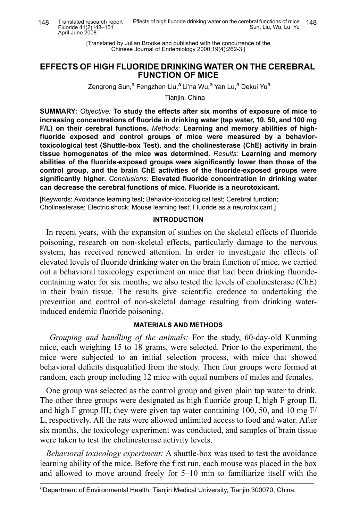[Translated by Julian Brooke and published with the concurrence of the Chinese Journal of Endemiology 2000;19(4):262-3.]

# **EFFECTS OF HIGH FLUORIDE DRINKING WATER ON THE CEREBRAL FUNCTION OF MICE**

Zengrong Sun,<sup>a</sup> Fengzhen Liu,<sup>a</sup> Li'na Wu,<sup>a</sup> Yan Lu,<sup>a</sup> Dekui Yu<sup>a</sup>

Tianiin, China

**SUMMARY:** *Objective:* **To study the effects after six months of exposure of mice to increasing concentrations of fluoride in drinking water (tap water, 10, 50, and 100 mg F/L) on their cerebral functions.** *Methods:* **Learning and memory abilities of highfluoride exposed and control groups of mice were measured by a behaviortoxicological test (Shuttle-box Test), and the cholinesterase (ChE) activity in brain tissue homogenates of the mice was determined.** *Results:* **Learning and memory abilities of the fluoride-exposed groups were significantly lower than those of the control group, and the brain ChE activities of the fluoride-exposed groups were significantly higher.** *Conclusions:* **Elevated fluoride concentration in drinking water can decrease the cerebral functions of mice. Fluoride is a neurotoxicant.**

[Keywords: Avoidance learning test; Behavior-toxicological test; Cerebral function; Cholinesterase; Electric shock; Mouse learning test; Fluoride as a neurotoxicant.]

### **INTRODUCTION**

In recent years, with the expansion of studies on the skeletal effects of fluoride poisoning, research on non-skeletal effects, particularly damage to the nervous system, has received renewed attention. In order to investigate the effects of elevated levels of fluoride drinking water on the brain function of mice, we carried out a behavioral toxicology experiment on mice that had been drinking fluoridecontaining water for six months; we also tested the levels of cholinesterase (ChE) in their brain tissue. The results give scientific credence to undertaking the prevention and control of non-skeletal damage resulting from drinking waterinduced endemic fluoride poisoning.

## **MATERIALS AND METHODS**

 *Grouping and handling of the animals:* For the study, 60-day-old Kunming mice, each weighing 15 to 18 grams, were selected. Prior to the experiment, the mice were subjected to an initial selection process, with mice that showed behavioral deficits disqualified from the study. Then four groups were formed at random, each group including 12 mice with equal numbers of males and females.

One group was selected as the control group and given plain tap water to drink. The other three groups were designated as high fluoride group I, high F group II, and high F group III; they were given tap water containing 100, 50, and 10 mg  $F/$ L, respectively. All the rats were allowed unlimited access to food and water. After six months, the toxicology experiment was conducted, and samples of brain tissue were taken to test the cholinesterase activity levels.

*Behavioral toxicology experiment:* A shuttle-box was used to test the avoidance learning ability of the mice. Before the first run, each mouse was placed in the box and allowed to move around freely for 5–10 min to familiarize itself with the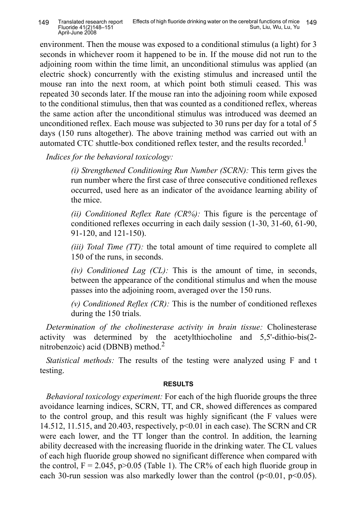environment. Then the mouse was exposed to a conditional stimulus (a light) for 3 seconds in whichever room it happened to be in. If the mouse did not run to the adjoining room within the time limit, an unconditional stimulus was applied (an electric shock) concurrently with the existing stimulus and increased until the mouse ran into the next room, at which point both stimuli ceased. This was repeated 30 seconds later. If the mouse ran into the adjoining room while exposed to the conditional stimulus, then that was counted as a conditioned reflex, whereas the same action after the unconditional stimulus was introduced was deemed an unconditioned reflex. Each mouse was subjected to 30 runs per day for a total of 5 days (150 runs altogether). The above training method was carried out with an automated CTC shuttle-box conditioned reflex tester, and the results recorded.<sup>1</sup>

*Indices for the behavioral toxicology:*

*(i) Strengthened Conditioning Run Number (SCRN):* This term gives the run number where the first case of three consecutive conditioned reflexes occurred, used here as an indicator of the avoidance learning ability of the mice.

*(ii) Conditioned Reflex Rate (CR%):* This figure is the percentage of conditioned reflexes occurring in each daily session (1-30, 31-60, 61-90, 91-120, and 121-150).

*(iii) Total Time (TT):* the total amount of time required to complete all 150 of the runs, in seconds.

*(iv) Conditioned Lag (CL):* This is the amount of time, in seconds, between the appearance of the conditional stimulus and when the mouse passes into the adjoining room, averaged over the 150 runs.

*(v) Conditioned Reflex (CR):* This is the number of conditioned reflexes during the 150 trials.

*Determination of the cholinesterase activity in brain tissue:* Cholinesterase activity was determined by the acetylthiocholine and 5,5'-dithio-bis(2 nitrobenzoic) acid (DBNB) method. $<sup>2</sup>$ </sup>

*Statistical methods:* The results of the testing were analyzed using F and t testing.

## **RESULTS**

*Behavioral toxicology experiment:* For each of the high fluoride groups the three avoidance learning indices, SCRN, TT, and CR, showed differences as compared to the control group, and this result was highly significant (the F values were 14.512, 11.515, and 20.403, respectively, p<0.01 in each case). The SCRN and CR were each lower, and the TT longer than the control. In addition, the learning ability decreased with the increasing fluoride in the drinking water. The CL values of each high fluoride group showed no significant difference when compared with the control,  $F = 2.045$ ,  $p > 0.05$  (Table 1). The CR% of each high fluoride group in each 30-run session was also markedly lower than the control  $(p<0.01, p<0.05)$ .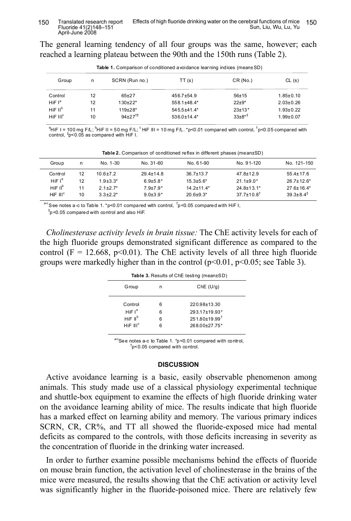The general learning tendency of all four groups was the same, however; each reached a learning plateau between the 90th and the 150th runs (Table 2).

| <b>Table 1.</b> Comparison of conditioned a voidance learning indices (mean±SD) |    |                       |                   |            |                 |  |
|---------------------------------------------------------------------------------|----|-----------------------|-------------------|------------|-----------------|--|
| Group                                                                           | n  | SCRN (Run no.)        | TT(s)             | CR(No.)    | CL(s)           |  |
| Control                                                                         | 12 | $65+27$               | $456.7 + 54.9$    | $56 + 15$  | $1.85 \pm 0.10$ |  |
| HiF $I^a$                                                                       | 12 | $130+22*$             | 558.1±48.4*       | $22+9*$    | $2.03 \pm 0.26$ |  |
| $H$ iF II <sup>b</sup>                                                          | 11 | $119+28*$             | $545.5 + 41.4*$   | $23+13*$   | $1.93 \pm 0.22$ |  |
| $H$ iF III <sup>c</sup>                                                         | 10 | $94+27$ <sup>†‡</sup> | $536.0 \pm 14.4*$ | $33+8^{*}$ | $1.99 + 0.07$   |  |

**Table 1.** Comparison of conditioned avoidance learning indices (mean±SD)

 $^a$ HiF I = 100 mg F/L;  $^b$ HiF II = 50 mg F/L;  $^c$  HiF III = 10 mg F/L. \*p<0.01 compared with control,  $^\dagger$ p<0.05 $\,$ compared with control, ‡ p<0.05 as compared with HiF I.

| Group               | n  | No. 1-30     | No. 31-60       | No. 61-90        | No. 91-120                   | No. 121-150             |
|---------------------|----|--------------|-----------------|------------------|------------------------------|-------------------------|
| Control             | 12 | 10 6 + 7 2   | $29.4 \pm 14.8$ | $36.7 \pm 13.7$  | $47.8 \pm 12.9$              | $55.4 \pm 17.6$         |
| HiF $I^a$           | 12 | $1.9 + 3.3*$ | $6.9{\pm}5.8*$  | $15.3 \pm 5.6^*$ | $21.1 \pm 9.0^*$             | $267+126*$              |
| HiF II <sup>b</sup> | 11 | $21+27*$     | $79+79*$        | $14.2 + 11.4*$   | 24 8+13 1*                   | $276+164*$              |
| $HIF$ $IIIc$        | 10 | $3.3+2.2*$   | $9.0 + 3.9*$    | $20.6 + 9.3*$    | $37.7 \pm 10.8$ <sup>†</sup> | $39.3 + 8.4^{\ddagger}$ |

**Table 2.** Comparison of conditioned reflex in different phases (mean±SD)

<sup>a-c</sup> See notes a-c to Table 1. \*p<0.01 compared with control,  $\frac{1}{1}$ p<0.05 compared with HiF I,

 $p^*$ p<0.05 compared with control and also HiF.

*Cholinesterase activity levels in brain tissue:* The ChE activity levels for each of the high fluoride groups demonstrated significant difference as compared to the control (F = 12.668, p<0.01). The ChE activity levels of all three high fluoride groups were markedly higher than in the control  $(p<0.01, p<0.05$ ; see Table 3).

| Table 3. Results of ChE testing (mean±SD) |   |                               |  |  |
|-------------------------------------------|---|-------------------------------|--|--|
| Group                                     | n | Che (U/q)                     |  |  |
| Control                                   | 6 | 220.98±13.30                  |  |  |
| HiF $I^a$                                 | 6 | 293.17±19.93*                 |  |  |
| HiF II <sup>b</sup>                       | 6 | $251.80\pm19.99$ <sup>t</sup> |  |  |
| HIF III <sup>c</sup>                      | հ | 268.00±27.75*                 |  |  |
|                                           |   |                               |  |  |

 $a^c$ See notes a-c to Table 1. \*p<0.01 compared with control,  $\sigma$ <sub>p</sub><0.05 compared with control.

#### **DISCUSSION**

Active avoidance learning is a basic, easily observable phenomenon among animals. This study made use of a classical physiology experimental technique and shuttle-box equipment to examine the effects of high fluoride drinking water on the avoidance learning ability of mice. The results indicate that high fluoride has a marked effect on learning ability and memory. The various primary indices SCRN, CR, CR%, and TT all showed the fluoride-exposed mice had mental deficits as compared to the controls, with those deficits increasing in severity as the concentration of fluoride in the drinking water increased.

In order to further examine possible mechanisms behind the effects of fluoride on mouse brain function, the activation level of cholinesterase in the brains of the mice were measured, the results showing that the ChE activation or activity level was significantly higher in the fluoride-poisoned mice. There are relatively few